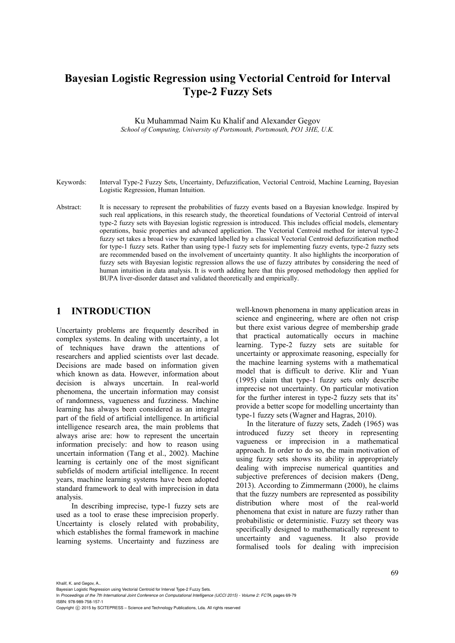# **Bayesian Logistic Regression using Vectorial Centroid for Interval Type-2 Fuzzy Sets**

Ku Muhammad Naim Ku Khalif and Alexander Gegov *School of Computing, University of Portsmouth, Portsmouth, PO1 3HE, U.K.* 

- Keywords: Interval Type-2 Fuzzy Sets, Uncertainty, Defuzzification, Vectorial Centroid, Machine Learning, Bayesian Logistic Regression, Human Intuition.
- Abstract: It is necessary to represent the probabilities of fuzzy events based on a Bayesian knowledge. Inspired by such real applications, in this research study, the theoretical foundations of Vectorial Centroid of interval type-2 fuzzy sets with Bayesian logistic regression is introduced. This includes official models, elementary operations, basic properties and advanced application. The Vectorial Centroid method for interval type-2 fuzzy set takes a broad view by exampled labelled by a classical Vectorial Centroid defuzzification method for type-1 fuzzy sets. Rather than using type-1 fuzzy sets for implementing fuzzy events, type-2 fuzzy sets are recommended based on the involvement of uncertainty quantity. It also highlights the incorporation of fuzzy sets with Bayesian logistic regression allows the use of fuzzy attributes by considering the need of human intuition in data analysis. It is worth adding here that this proposed methodology then applied for BUPA liver-disorder dataset and validated theoretically and empirically.

### **1 INTRODUCTION**

Uncertainty problems are frequently described in complex systems. In dealing with uncertainty, a lot of techniques have drawn the attentions of researchers and applied scientists over last decade. Decisions are made based on information given which known as data. However, information about decision is always uncertain. In real-world phenomena, the uncertain information may consist of randomness, vagueness and fuzziness. Machine learning has always been considered as an integral part of the field of artificial intelligence. In artificial intelligence research area, the main problems that always arise are: how to represent the uncertain information precisely: and how to reason using uncertain information (Tang et al., 2002). Machine learning is certainly one of the most significant subfields of modern artificial intelligence. In recent years, machine learning systems have been adopted standard framework to deal with imprecision in data analysis.

In describing imprecise, type-1 fuzzy sets are used as a tool to erase these imprecision properly. Uncertainty is closely related with probability, which establishes the formal framework in machine learning systems. Uncertainty and fuzziness are

well-known phenomena in many application areas in science and engineering, where are often not crisp but there exist various degree of membership grade that practical automatically occurs in machine learning. Type-2 fuzzy sets are suitable for uncertainty or approximate reasoning, especially for the machine learning systems with a mathematical model that is difficult to derive. Klir and Yuan (1995) claim that type-1 fuzzy sets only describe imprecise not uncertainty. On particular motivation for the further interest in type-2 fuzzy sets that its' provide a better scope for modelling uncertainty than type-1 fuzzy sets (Wagner and Hagras, 2010).

In the literature of fuzzy sets, Zadeh (1965) was introduced fuzzy set theory in representing vagueness or imprecision in a mathematical approach. In order to do so, the main motivation of using fuzzy sets shows its ability in appropriately dealing with imprecise numerical quantities and subjective preferences of decision makers (Deng, 2013). According to Zimmermann (2000), he claims that the fuzzy numbers are represented as possibility distribution where most of the real-world phenomena that exist in nature are fuzzy rather than probabilistic or deterministic. Fuzzy set theory was specifically designed to mathematically represent to uncertainty and vagueness. It also provide formalised tools for dealing with imprecision

Khalif, K. and Gegov, A..

Bayesian Logistic Regression using Vectorial Centroid for Interval Type-2 Fuzzy Sets.

In *Proceedings of the 7th International Joint Conference on Computational Intelligence (IJCCI 2015) - Volume 2: FCTA*, pages 69-79 ISBN: 978-989-758-157-1

Copyright (c) 2015 by SCITEPRESS - Science and Technology Publications, Lda. All rights reserved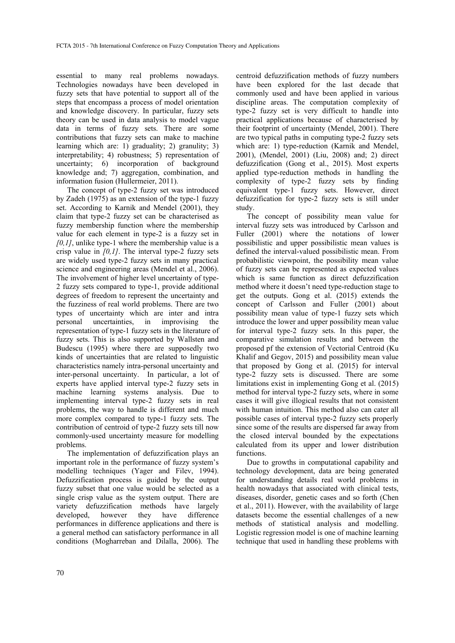essential to many real problems nowadays. Technologies nowadays have been developed in fuzzy sets that have potential to support all of the steps that encompass a process of model orientation and knowledge discovery. In particular, fuzzy sets theory can be used in data analysis to model vague data in terms of fuzzy sets. There are some contributions that fuzzy sets can make to machine learning which are: 1) graduality; 2) granulity; 3) interpretability; 4) robustness; 5) representation of uncertainty; 6) incorporation of background knowledge and; 7) aggregation, combination, and information fusion (Hullermeier, 2011).

The concept of type-2 fuzzy set was introduced by Zadeh (1975) as an extension of the type-1 fuzzy set. According to Karnik and Mendel (2001), they claim that type-2 fuzzy set can be characterised as fuzzy membership function where the membership value for each element in type-2 is a fuzzy set in *[0,1]*, unlike type-1 where the membership value is a crisp value in *[0,1]*. The interval type-2 fuzzy sets are widely used type-2 fuzzy sets in many practical science and engineering areas (Mendel et al., 2006). The involvement of higher level uncertainty of type-2 fuzzy sets compared to type-1, provide additional degrees of freedom to represent the uncertainty and the fuzziness of real world problems. There are two types of uncertainty which are inter and intra personal uncertainties, in improvising the representation of type-1 fuzzy sets in the literature of fuzzy sets. This is also supported by Wallsten and Budescu (1995) where there are supposedly two kinds of uncertainties that are related to linguistic characteristics namely intra-personal uncertainty and inter-personal uncertainty. In particular, a lot of experts have applied interval type-2 fuzzy sets in machine learning systems analysis. Due to implementing interval type-2 fuzzy sets in real problems, the way to handle is different and much more complex compared to type-1 fuzzy sets. The contribution of centroid of type-2 fuzzy sets till now commonly-used uncertainty measure for modelling problems.

The implementation of defuzzification plays an important role in the performance of fuzzy system's modelling techniques (Yager and Filev, 1994). Defuzzification process is guided by the output fuzzy subset that one value would be selected as a single crisp value as the system output. There are variety defuzzification methods have largely developed, however they have difference performances in difference applications and there is a general method can satisfactory performance in all conditions (Mogharreban and Dilalla, 2006). The

centroid defuzzification methods of fuzzy numbers have been explored for the last decade that commonly used and have been applied in various discipline areas. The computation complexity of type-2 fuzzy set is very difficult to handle into practical applications because of characterised by their footprint of uncertainty (Mendel, 2001). There are two typical paths in computing type-2 fuzzy sets which are: 1) type-reduction (Karnik and Mendel, 2001), (Mendel, 2001) (Liu, 2008) and; 2) direct defuzzification (Gong et al., 2015). Most experts applied type-reduction methods in handling the complexity of type-2 fuzzy sets by finding equivalent type-1 fuzzy sets. However, direct defuzzification for type-2 fuzzy sets is still under study.

The concept of possibility mean value for interval fuzzy sets was introduced by Carlsson and Fuller (2001) where the notations of lower possibilistic and upper possibilistic mean values is defined the interval-valued possibilistic mean. From probabilistic viewpoint, the possibility mean value of fuzzy sets can be represented as expected values which is same function as direct defuzzification method where it doesn't need type-reduction stage to get the outputs. Gong et al. (2015) extends the concept of Carlsson and Fuller (2001) about possibility mean value of type-1 fuzzy sets which introduce the lower and upper possibility mean value for interval type-2 fuzzy sets. In this paper, the comparative simulation results and between the proposed pf the extension of Vectorial Centroid (Ku Khalif and Gegov, 2015) and possibility mean value that proposed by Gong et al. (2015) for interval type-2 fuzzy sets is discussed. There are some limitations exist in implementing Gong et al. (2015) method for interval type-2 fuzzy sets, where in some cases it will give illogical results that not consistent with human intuition. This method also can cater all possible cases of interval type-2 fuzzy sets properly since some of the results are dispersed far away from the closed interval bounded by the expectations calculated from its upper and lower distribution functions.

Due to growths in computational capability and technology development, data are being generated for understanding details real world problems in health nowadays that associated with clinical tests, diseases, disorder, genetic cases and so forth (Chen et al., 2011). However, with the availability of large datasets become the essential challenges of a new methods of statistical analysis and modelling. Logistic regression model is one of machine learning technique that used in handling these problems with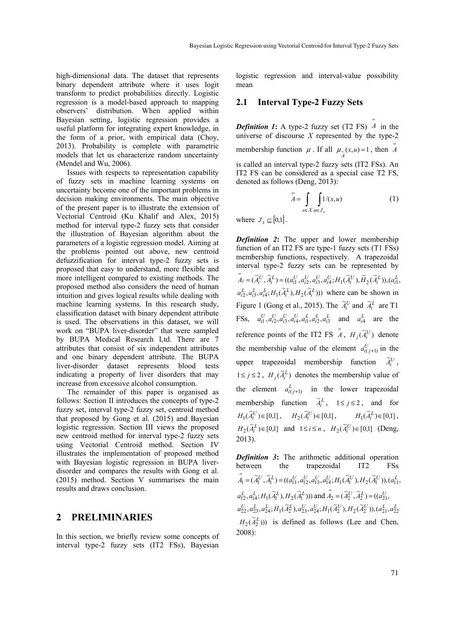high-dimensional data. The dataset that represents binary dependent attribute where it uses logit transform to predict probabilities directly. Logistic regression is a model-based approach to mapping observers' distribution. When applied within Bayesian setting, logistic regression provides a useful platform for integrating expert knowledge, in the form of a prior, with empirical data (Choy, 2013). Probability is complete with parametric models that let us characterize random uncertainty (Mendel and Wu, 2006).

Issues with respects to representation capability of fuzzy sets in machine learning systems on uncertainty become one of the important problems in decision making environments. The main objective of the present paper is to illustrate the extension of Vectorial Centroid (Ku Khalif and Alex, 2015) method for interval type-2 fuzzy sets that consider the illustration of Bayesian algorithm about the parameters of a logistic regression model. Aiming at the problems pointed out above, new centroid defuzzification for interval type-2 fuzzy sets is proposed that easy to understand, more flexible and more intelligent compared to existing methods. The proposed method also considers the need of human intuition and gives logical results while dealing with machine learning systems. In this research study, classification dataset with binary dependent attribute is used. The observations in this dataset, we will work on "BUPA liver-disorder" that were sampled by BUPA Medical Research Ltd. There are 7 attributes that consist of six independent attributes and one binary dependent attribute. The BUPA liver-disorder dataset represents blood tests indicating a property of liver disorders that may increase from excessive alcohol consumption.

The remainder of this paper is organised as follows: Section II introduces the concepts of type-2 fuzzy set, interval type-2 fuzzy set, centroid method that proposed by Gong et al. (2015) and Bayesian logistic regression. Section III views the proposed new centroid method for interval type-2 fuzzy sets using Vectorial Centroid method. Section IV illustrates the implementation of proposed method with Bayesian logistic regression in BUPA liverdisorder and compares the results with Gong et al. (2015) method. Section V summarises the main results and draws conclusion.

# **2 PRELIMINARIES**

In this section, we briefly review some concepts of interval type-2 fuzzy sets (IT2 FSs), Bayesian

logistic regression and interval-value possibility mean

### **2.1 Interval Type-2 Fuzzy Sets**

*Definition 1***:** A type-2 fuzzy set (T2 FS) ≈ *A* in the universe of discourse *X* represented by the type-2 membership function  $\mu$ . If all  $\mu_=(x,u) = 1$ , then  $\tilde{A}$ is called an interval type-2 fuzzy sets (IT2 FSs). An IT2 FS can be considered as a special case T2 FS, denoted as follows (Deng, 2013):

$$
\tilde{A} = \int_{x \in X} \int_{u \in J_x} 1/(x, u)
$$
 (1)

where  $J_x \subseteq [0,1]$ .

*Definition 2***:** The upper and lower membership function of an IT2 FS are type-1 fuzzy sets (T1 FSs) membership functions, respectively. A trapezoidal interval type-2 fuzzy sets can be represented by  $\tilde{\tilde{A}}_i = (\tilde{A}_i^U, \tilde{A}_i^L) = ((a_{i1}^U, a_{i2}^U, a_{i3}^U, a_{i4}^U; H_1(\tilde{A}_i^U), \tilde{H}_2(\tilde{A}_i^L)), (a_{i1}^L, a_{i2}^U, a_{i3}^U, a_{i4}^U, a_{i5}^U, a_{i6}^U, a_{i7}^U, a_{i8}^U, a_{i9}^U, a_{i0}^U, a_{i0}^U, a_{i0}^U, a_{i0}^U, a_{i1}^U, a_{i0}^U, a_{i$  $a_{i2}^L, a_{i3}^L, a_{i4}^L; H_1(\tilde{A}_i^L), H_2(\tilde{A}_i^L))$  where can be shown in Figure 1 (Gong et al., 2015). The  $\tilde{A}_i^U$  and  $\tilde{A}_i^L$  are T1 FSs,  $a_{i1}^U, a_{i2}^U, a_{i3}^U, a_{i4}^U, a_{i1}^L, a_{i2}^L, a_{i3}^L$  and  $a_{i4}^L$  are the reference points of the IT2 FS  $\tilde{A}$ ,  $H_j(\tilde{A}_i^U)$  denote the membership value of the element  $a_{i(j+1)}^U$  in the upper trapezoidal membership function  $\tilde{A}_i^U$ , 1≤ *j* ≤ 2,  $H_j(\tilde{A}_i^L)$  denotes the membership value of the element  $a_{i(j+1)}^L$  in the lower trapezoidal membership function  $\tilde{A}_i^L$ ,  $1 \le j \le 2$ , and for  $H_1(\widetilde{A}_i^U) \in [0,1]$ ,  $H_2(\widetilde{A}_i^U) \in [0,1]$ ,  $H_1(\widetilde{A}_i^L) \in [0,1]$ ,  $H_2(\tilde{A}_i^L) \in [0,1]$  and  $1 \le i \le n$ ,  $H_2(\tilde{A}_i^U) \in [0,1]$  (Deng, 2013).

*Definition 3*: The arithmetic additional operation between the transcording IT2 FSs the trapezoidal IT2 FSs  $\tilde{\tilde{A}}_1 = (\tilde{A}_1^U, \tilde{A}_1^L) = ((a_{11}^U, a_{12}^U, a_{13}^U, a_{14}^U; H_1(\tilde{A}_1^U), H_2(\tilde{A}_1^U)), (a_{11}^L, a_{12}^U, a_{14}^U, a_{15}^U, a_{16}^U))$  $a_{12}^L, a_{14}^L; H_1(\tilde{A}_1^L), H_2(\tilde{A}_1^L)$ )) and  $\tilde{A}_2 = (\tilde{A}_2^U, \tilde{A}_2^L) = ((a_{21}^U, a_{22}^U, a_{21}^U, a_{22}^U, a_{22}^U, a_{22}^U, a_{22}^U, a_{22}^U, a_{22}^U, a_{22}^U, a_{22}^U, a_{22}^U, a_{22}^U, a_{22}^U, a_{22}^U, a_{22}^U, a_{22}^U, a_{2$  $a_{22}^U, a_{23}^L, a_{24}^L; H_1(\tilde{A}_2^L), a_{23}^U, a_{24}^U; H_1(\tilde{A}_2^U), H_2(\tilde{A}_2^U)), (a_{21}^L, a_{22}^L)$  $H_2(\tilde{A}_2^L)$ )) is defined as follows (Lee and Chen, 2008):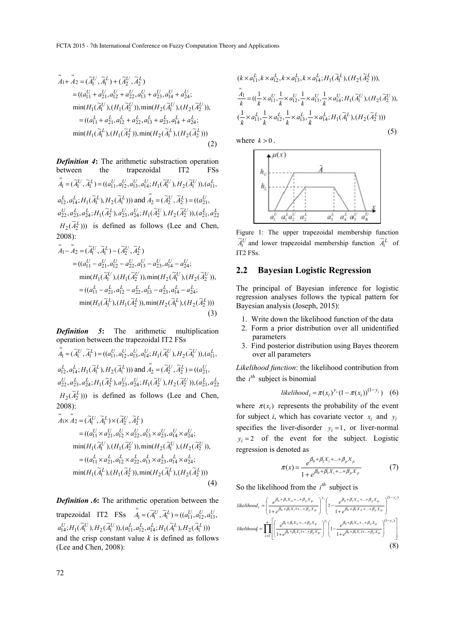$$
\tilde{A}_{1} + \tilde{A}_{2} = (\tilde{A}_{1}^{U}, \tilde{A}_{1}^{L}) + (\tilde{A}_{2}^{U}, \tilde{A}_{2}^{L})
$$
\n
$$
= ((a_{11}^{U} + a_{21}^{U}, a_{12}^{U} + a_{22}^{U}, a_{13}^{U} + a_{23}^{U}, a_{14}^{U} + a_{24}^{U};
$$
\n
$$
\min(H_{1}(\tilde{A}_{1}^{U}), (H_{1}(\tilde{A}_{2}^{U})), \min(H_{2}(\tilde{A}_{1}^{U}), (H_{2}(\tilde{A}_{2}^{U})),
$$
\n
$$
= ((a_{11}^{L} + a_{21}^{L}, a_{12}^{L} + a_{22}^{L}, a_{13}^{L} + a_{23}^{L}, a_{14}^{L} + a_{24}^{L};
$$
\n
$$
\min(H_{1}(\tilde{A}_{1}^{L}), (H_{1}(\tilde{A}_{2}^{L})), \min(H_{2}(\tilde{A}_{1}^{L}), (H_{2}(\tilde{A}_{2}^{L})))
$$
\n(2)

*Definition 4***:** The arithmetic substraction operation between the trapezoidal IT2 FSs  $\tilde{\tilde{A}}_1 = (\tilde{A}_1^U, \tilde{A}_1^L) = ((a_{11}^U, a_{12}^U, a_{13}^U, a_{14}^U; H_1(\tilde{A}_1^U), H_2(\tilde{A}_1^U)), (a_{11}^L, a_{12}^U, a_{14}^U, a_{15}^U, a_{16}^U))$  $a_{12}^L, a_{14}^L; H_1(\tilde{A}_1^L), H_2(\tilde{A}_1^L)$ )) and  $\tilde{A}_2 = (\tilde{A}_2^U, \tilde{A}_2^L) = ((a_{21}^U, a_{22}^U, a_{21}^U, a_{22}^U, a_{22}^U, a_{22}^U, a_{22}^U, a_{22}^U, a_{22}^U, a_{22}^U, a_{22}^U, a_{22}^U, a_{22}^U, a_{22}^U, a_{22}^U, a_{22}^U, a_{22}^U, a_{2$  $a_{22}^U, a_{23}^L, a_{24}^L; H_1(\widetilde{A}_2^L), a_{23}^U, a_{24}^U; H_1(\widetilde{A}_2^U), H_2(\widetilde{A}_2^U)), (a_{21}^L, a_{22}^L)$  $H_2(\tilde{A}_2^L)$ )) is defined as follows (Lee and Chen, 2008):

$$
\tilde{A}_{1} - \tilde{A}_{2} = (\tilde{A}_{1}^{U}, \tilde{A}_{1}^{L}) - (\tilde{A}_{2}^{U}, \tilde{A}_{2}^{L})
$$
\n
$$
= ((a_{11}^{U} - a_{21}^{U}, a_{12}^{U} - a_{22}^{U}, a_{13}^{U} - a_{23}^{U}, a_{14}^{U} - a_{24}^{U};
$$
\n
$$
\min(H_{1}(\tilde{A}_{1}^{U}),(H_{1}(\tilde{A}_{2}^{U})), \min(H_{2}(\tilde{A}_{1}^{U}),(H_{2}(\tilde{A}_{2}^{U})),
$$
\n
$$
= ((a_{11}^{L} - a_{21}^{L}, a_{12}^{L} - a_{22}^{L}, a_{13}^{L} - a_{23}^{L}, a_{14}^{L} - a_{24}^{L};
$$
\n
$$
\min(H_{1}(\tilde{A}_{1}^{L}),(H_{1}(\tilde{A}_{2}^{L})), \min(H_{2}(\tilde{A}_{1}^{L}),(H_{2}(\tilde{A}_{2}^{L})))
$$
\n(3)

*Definition 5***:** The arithmetic multiplication operation between the trapezoidal IT2 FSs

 $\tilde{\tilde{A}}_1 = (\tilde{A}_1^U, \tilde{A}_1^L) = ((a_{11}^U, a_{12}^U, a_{13}^U, a_{14}^U; H_1(\tilde{A}_1^U), H_2(\tilde{A}_1^U)), (a_{11}^L, a_{12}^U, a_{14}^U, a_{15}^U, a_{16}^U))$  $a_{12}^L, a_{14}^L; H_1(\tilde{A}_1^L), H_2(\tilde{A}_1^L))$  and  $\tilde{A}_2 = (\tilde{A}_2^U, \tilde{A}_2^L) = ((a_{21}^U, a_{21}^U, a_{21}^U, a_{21}^U, a_{21}^U, a_{21}^U)$  $a_{22}^U, a_{23}^L, a_{24}^L; H_1(\widetilde{A}_2^L), a_{23}^U, a_{24}^U; H_1(\widetilde{A}_2^U), H_2(\widetilde{A}_2^U)), (a_{21}^L, a_{22}^L)$  $H_2(\tilde{A}_2^L)$ )) is defined as follows (Lee and Chen, 2008):

$$
\tilde{A}_1 \times \tilde{A}_2 = (\tilde{A}_1^U, \tilde{A}_1^L) \times (\tilde{A}_2^U, \tilde{A}_2^L) \n= ((a_{11}^U \times a_{21}^U, a_{12}^U \times a_{22}^U, a_{13}^U \times a_{23}^U, a_{14}^U \times a_{24}^U; \nmin(H_1(\tilde{A}_1^U), (H_1(\tilde{A}_2^U)), min(H_2(\tilde{A}_1^U), (H_2(\tilde{A}_2^U)), \n= ((a_{11}^L \times a_{21}^L, a_{12}^L \times a_{22}^L, a_{13}^L \times a_{23}^L, a_{14}^L \times a_{24}^L; \nmin(H_1(\tilde{A}_1^L), (H_1(\tilde{A}_2^L)), min(H_2(\tilde{A}_1^L), (H_2(\tilde{A}_2^L)))
$$
\n(4)

*Definition .6***:** The arithmetic operation between the trapezoidal IT2 FSs  $\tilde{A}_1 = (\tilde{A}_1^U, \tilde{A}_1^L) = ((a_{11}^U, a_{12}^U, a_{13}^U, a_{14}^U, a_{15}^U, a_{16}^U, a_{17}^U, a_{18}^U, a_{19}^U, a_{10}^U, a_{10}^U, a_{11}^U, a_{12}^U, a_{13}^U, a_{14}^U, a_{15}^U, a_{16}^U, a_{17}^U, a_{18}^U, a_{19}^U, a_{10}^U, a_{$  $a_{14}^{U};H_1(\widetilde{A}_1^U),H_2(\widetilde{A}_1^U)),(a_{11}^{L},a_{12}^{L},a_{14}^{L};H_1(\widetilde{A}_1^{L}),H_2(\widetilde{A}_1^{L})))$ and the crisp constant value *k* is defined as follows (Lee and Chen, 2008):

$$
(k \times a_{11}^L, k \times a_{12}^L, k \times a_{13}^L, k \times a_{14}^L; H_1(\tilde{A}_1^L), (H_2(\tilde{A}_2^L))),
$$
  
\n
$$
\frac{\tilde{A}_1}{k} = ((\frac{1}{k} \times a_{11}^U, \frac{1}{k} \times a_{12}^U, \frac{1}{k} \times a_{13}^U, \frac{1}{k} \times a_{14}^U; H_1(\tilde{A}_1^U), (H_2(\tilde{A}_2^U))),
$$
  
\n
$$
(\frac{1}{k} \times a_{11}^L, \frac{1}{k} \times a_{12}^L, \frac{1}{k} \times a_{13}^L, \frac{1}{k} \times a_{14}^L; H_1(\tilde{A}_1^L), (H_2(\tilde{A}_2^L)))
$$
\n(5)

where  $k > 0$ .



Figure 1: The upper trapezoidal membership function  $\widetilde{A}_i^U$  and lower trapezoidal membership function  $\widetilde{A}_i^L$  of IT2 FSs.

### **2.2 Bayesian Logistic Regression**

The principal of Bayesian inference for logistic regression analyses follows the typical pattern for Bayesian analysis (Joseph, 2015):

- 1. Write down the likelihood function of the data
- 2. Form a prior distribution over all unidentified parameters
- 3. Find posterior distribution using Bayes theorem over all parameters

*Likelihood function*: the likelihood contribution from the  $i^{th}$  subject is binomial

$$
likelihood_{i} = \pi(x_{i})^{y_{i}} (1 - \pi(x_{i}))^{(1 - y_{i})}
$$
 (6)

where  $\pi(x_i)$  represents the probability of the event for subject *i*, which has covariate vector  $x_i$  and  $y_i$ specifies the liver-disorder  $y_i = 1$ , or liver-normal  $y_i = 2$  of the event for the subject. Logistic regression is denoted as

$$
\pi(x) = \frac{e^{\beta_0 + \beta_1 X_i + \dots + \beta_p X_p}}{1 + e^{\beta_0 + \beta_1 X_i + \dots + \beta_p X_p}}
$$
(7)

So the likelihood from the  $i^{th}$  subject is

$$
likelihood_{i} = \left(\frac{e^{\beta_{0} + \beta_{1}X_{i1} + \dots + \beta_{p}X_{ip}}}{1 + e^{\beta_{0} + \beta_{1}X_{i1} + \dots + \beta_{p}X_{ip}}}\right)^{y_{i}} \left(1 - \frac{e^{\beta_{0} + \beta_{1}X_{i1} + \dots + \beta_{p}X_{ip}}}{1 + e^{\beta_{0} + \beta_{1}X_{i1} + \dots + \beta_{p}X_{ip}}}\right)^{(1 - y_{i})}
$$
  
\n
$$
likelihood = \prod_{i=1}^{n} \left[ \left(\frac{e^{\beta_{0} + \beta_{1}X_{i1} + \dots + \beta_{p}X_{ip}}}{1 + e^{\beta_{0} + \beta_{1}X_{i1} + \dots + \beta_{p}X_{ip}}}\right)^{y_{i}} \left(1 - \frac{e^{\beta_{0} + \beta_{1}X_{i1} + \dots + \beta_{p}X_{ip}}}{1 + e^{\beta_{0} + \beta_{1}X_{i1} + \dots + \beta_{p}X_{ip}}}\right)^{(1 - y_{i})}\right]
$$
\n
$$
(8)
$$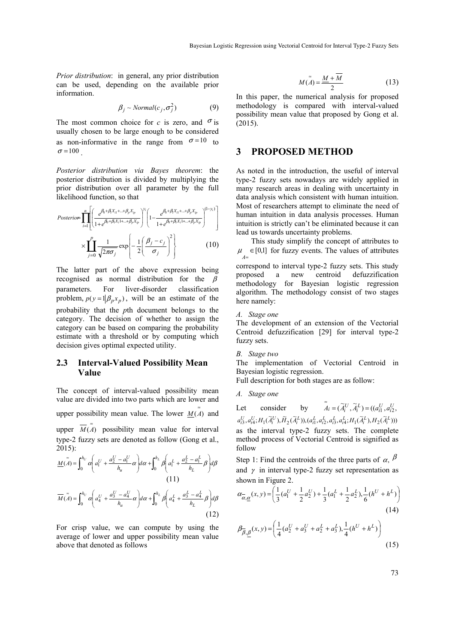*Prior distribution*: in general, any prior distribution can be used, depending on the available prior information.

$$
\beta_j \sim Normal(c_j, \sigma_j^2)
$$
 (9)

The most common choice for *c* is zero, and  $\sigma$  is usually chosen to be large enough to be considered as non-informative in the range from  $\sigma = 10$  to  $\sigma = 100$ 

*Posterior distribution via Bayes theorem*: the posterior distribution is divided by multiplying the prior distribution over all parameter by the full likelihood function, so that

$$
Posterior = \prod_{i=1}^{n} \left[ \frac{e^{\beta_0 + \beta_i X_{i1} + \dots + \beta_p X_{ip}}}{1 + e^{\beta_0 + \beta_i X_{i1} + \dots + \beta_p X_{ip}}} \right]^{y_i} \left[ 1 - \frac{e^{\beta_0 + \beta_i X_{i1} + \dots + \beta_p X_{ip}}}{1 + e^{\beta_0 + \beta_i X_{i1} + \dots + \beta_p X_{ip}}} \right]^{(1-y_i)} \right]
$$

$$
\times \prod_{j=0}^{p} \frac{1}{\sqrt{2\pi\sigma_j}} \exp\left\{-\frac{1}{2} \left(\frac{\beta_j - c_j}{\sigma_j}\right)^2\right\} \tag{10}
$$

The latter part of the above expression being recognised as normal distribution for the  $\beta$ parameters. For liver-disorder classification problem,  $p(y = 1 | \beta_n x_n)$ , will be an estimate of the probability that the *p*th document belongs to the category. The decision of whether to assign the category can be based on comparing the probability estimate with a threshold or by computing which decision gives optimal expected utility.

### **2.3 Interval-Valued Possibility Mean Value**

The concept of interval-valued possibility mean value are divided into two parts which are lower and upper possibility mean value. The lower  $M(\tilde{A})$  and

upper  $\overline{M(A)}$  possibility mean value for interval type-2 fuzzy sets are denoted as follow (Gong et al.,  $2015$ :

$$
\underline{M}(\tilde{A}) = \int_0^{h_U} \alpha \left( a_1^U + \frac{a_2^U - a_1^U}{h_u} \alpha \right) d\alpha + \int_0^{h_L} \beta \left( a_1^L + \frac{a_2^L - a_1^L}{h_L} \beta \right) d\beta
$$
\n(11)  
\n
$$
\overline{M}(\tilde{A}) = \int_0^{h_U} \alpha \left( a_4^U + \frac{a_3^U - a_4^U}{h_u} \alpha \right) d\alpha + \int_0^{h_L} \beta \left( a_4^L + \frac{a_3^L - a_4^L}{h_L} \beta \right) d\beta
$$
\n(12)

For crisp value, we can compute by using the average of lower and upper possibility mean value above that denoted as follows

$$
M(\tilde{A}) = \frac{M + \overline{M}}{2}
$$
 (13)

In this paper, the numerical analysis for proposed methodology is compared with interval-valued possibility mean value that proposed by Gong et al. (2015).

### **3 PROPOSED METHOD**

As noted in the introduction, the useful of interval type-2 fuzzy sets nowadays are widely applied in many research areas in dealing with uncertainty in data analysis which consistent with human intuition. Most of researchers attempt to eliminate the need of human intuition in data analysis processes. Human intuition is strictly can't be eliminated because it can lead us towards uncertainty problems.

This study simplify the concept of attributes to  $\mu$  ∈ [0,1] for fuzzy events. The values of attributes

correspond to interval type-2 fuzzy sets. This study proposed a new centroid defuzzification methodology for Bayesian logistic regression algorithm. The methodology consist of two stages here namely:

### *A. Stage one*

The development of an extension of the Vectorial Centroid defuzzification [29] for interval type-2 fuzzy sets.

#### *B. Stage two*

The implementation of Vectorial Centroid in Bayesian logistic regression.

Full description for both stages are as follow:

```
A. Stage one
```
Let consider by  $\tilde{A}_i = (\tilde{A}_i^U, \tilde{A}_i^L) = ((a_{i1}^U, a_{i2}^U, a_{i3}^U, a_{i4}^U, a_{i5}^U, a_{i6}^U, a_{i7}^U, a_{i8}^U, a_{i9}^U, a_{i0}^U, a_{i0}^U, a_{i0}^U, a_{i0}^U, a_{i0}^U, a_{i1}^U, a_{i0}^U, a_{i1}^U, a_{i0}^U, a_{i1}^U, a_{i0}^U, a_{i1}^U, a_{i0}^$  $a_{i3}^U, a_{i4}^U; H_1(\widetilde{A}_i^U), \widetilde{H}_2(\widetilde{A}_i^L)), (a_{i1}^L, a_{i2}^L, a_{i3}^L, a_{i4}^L; H_1(\widetilde{A}_i^L), H_2(\widetilde{A}_i^L)))$ as the interval type-2 fuzzy sets. The complete method process of Vectorial Centroid is signified as follow

Step 1: Find the centroids of the three parts of  $\alpha$ ,  $\beta$ and  $\gamma$  in interval type-2 fuzzy set representation as shown in Figure 2.

$$
\alpha_{\alpha,\underline{\alpha}}(x,y) = \left(\frac{1}{3}(a_1^U + \frac{1}{2}a_2^U) + \frac{1}{3}(a_1^L + \frac{1}{2}a_2^L), \frac{1}{6}(h^U + h^L)\right)
$$
\n(14)

$$
\beta_{\overline{\beta},\underline{\beta}}(x,y) = \left(\frac{1}{4}(a_2^U + a_3^U + a_2^L + a_3^L), \frac{1}{4}(h^U + h^L)\right)
$$
\n(15)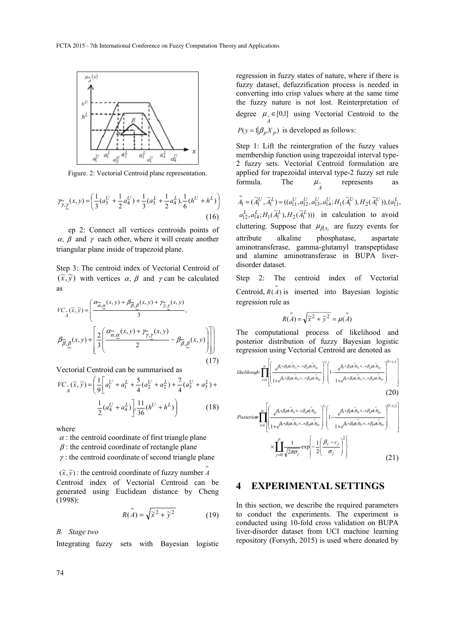

Figure. 2: Vectorial Centroid plane representation.

$$
\mathcal{V}_{\gamma, \underline{\gamma}}(x, y) = \left(\frac{1}{3}(a_3^U + \frac{1}{2}a_4^U) + \frac{1}{3}(a_3^L + \frac{1}{2}a_4^L), \frac{1}{6}(h^U + h^L)\right)
$$
(16)

 ep 2: Connect all vertices centroids points of  $\alpha$ ,  $\beta$  and  $\gamma$  each other, where it will create another triangular plane inside of trapezoid plane.

Step 3: The centroid index of Vectorial Centroid of  $(\tilde{x}, \tilde{y})$  with vertices  $\alpha$ ,  $\beta$  and  $\gamma$  can be calculated as

$$
VC_{\tilde{A}}(\tilde{x}, \tilde{y}) = \left(\frac{\alpha_{\tilde{\alpha}, \underline{\alpha}}(x, y) + \beta_{\tilde{\beta}, \underline{\beta}}(x, y) + \gamma_{\tilde{\gamma}, \underline{\gamma}}(x, y)}{3}, \beta_{\tilde{\beta}, \underline{\beta}}(x, y) + \left[\frac{2}{3}\left(\frac{\alpha_{\tilde{\alpha}, \underline{\alpha}}(x, y) + \gamma_{\tilde{\gamma}, \underline{\gamma}}(x, y)}{2} - \beta_{\tilde{\beta}, \underline{\beta}}(x, y)\right)\right]\right)
$$
(17)

Vectorial Centroid can be summarised as

$$
VC_{A}(\widetilde{x}, \widetilde{y}) = \left(\frac{1}{9}\left[a_{1}^{U} + a_{1}^{L} + \frac{5}{4}(a_{2}^{U} + a_{2}^{L}) + \frac{7}{4}(a_{3}^{U} + a_{3}^{L}) + \frac{1}{2}(a_{4}^{U} + a_{4}^{L})\right] \cdot \frac{11}{36}(h^{U} + h^{L})\right)
$$
(18)

where

 $\alpha$ : the centroid coordinate of first triangle plane  $\beta$ : the centroid coordinate of rectangle plane

 $\gamma$ : the centroid coordinate of second triangle plane

 $(\tilde{x}, \tilde{y})$ : the centroid coordinate of fuzzy number  $\tilde{A}$ Centroid index of Vectorial Centroid can be generated using Euclidean distance by Cheng (1998):

$$
R(\tilde{A}) = \sqrt{\tilde{x}^2 + \tilde{y}^2}
$$
 (19)

*B. Stage two* 

Integrating fuzzy sets with Bayesian logistic

regression in fuzzy states of nature, where if there is fuzzy dataset, defuzzification process is needed in converting into crisp values where at the same time the fuzzy nature is not lost. Reinterpretation of degree  $\mu = [0,1]$  using Vectorial Centroid to the  $P(y = 1 | \beta_p X_p)$  is developed as follows:

Step 1: Lift the reintergration of the fuzzy values membership function using trapezoidal interval type-2 fuzzy sets. Vectorial Centroid formulation are applied for trapezoidal interval type-2 fuzzy set rule formula. The  $\mu_{\alpha}$ represents

 $\tilde{\tilde{A}}_1 = (\tilde{A}_1^U, \tilde{A}_1^L) = ((a_{11}^U, a_{12}^U, a_{13}^U, a_{14}^U; H_1(\tilde{A}_1^U), H_2(\tilde{A}_1^U)), (a_{11}^L, a_{12}^U, a_{14}^U, a_{15}^U, a_{16}^U))$  $a_{12}^L, a_{14}^L; H_1(\tilde{A}_1^L), H_2(\tilde{A}_1^L))$  in calculation to avoid cluttering. Suppose that  $\mu_{\beta_i x_i}$  are fuzzy events for attribute alkaline phosphatase, aspartate aminotransferase, gamma-glutamyl transpeptidase and alamine aminotransferase in BUPA liverdisorder dataset.

Step 2: The centroid index of Vectorial Centroid,  $R(\tilde{\tilde{A}})$  is inserted into Bayesian logistic regression rule as

$$
R(\tilde{A}) = \sqrt{\tilde{x}^2 + \tilde{y}^2} = \mu(\tilde{A})
$$

The computational process of likelihood and posterior distribution of fuzzy Bayesian logistic regression using Vectorial Centroid are denoted as

$$
likelihood = \prod_{i=1}^{n} \left[ \left( \frac{e^{\beta_0 + \beta_i \mu(\tilde{A})_{i1} + \ldots + \beta_p \mu(\tilde{A})_{ip}}}{1 + e^{\beta_0 + \beta_i \mu(\tilde{A})_{i1} + \ldots + \beta_p \mu(\tilde{A})_{ip}}} \right)^{\nu_i} \left( 1 - \frac{e^{\beta_0 + \beta_i \mu(\tilde{A})_{i1} + \ldots + \beta_p \mu(\tilde{A})_{ip}}}{1 + e^{\beta_0 + \beta_i \mu(\tilde{A})_{i1} + \ldots + \beta_p \mu(\tilde{A})_{ip}}} \right)^{(1-y_i)} \right]
$$
(20)

$$
Posterior \prod_{i=1}^{n} \left[ \frac{e^{\beta_0 + \beta_i \mu(\tilde{A})_{i1} + \ldots + \beta_p \mu(\tilde{A})_{i_p}}}{1 + e^{\beta_0 + \beta_i \mu(\tilde{A})_{i1} + \ldots + \beta_p \mu(\tilde{A})_{i_p}}}\right)^{v_i} \left[ 1 - \frac{e^{\beta_0 + \beta_i \mu(\tilde{A})_{i1} + \ldots + \beta_p \mu(\tilde{A})_{i_p}}}{1 + e^{\beta_0 + \beta_i \mu(\tilde{A})_{i1} + \ldots + \beta_p \mu(\tilde{A})_{i_p}}}\right)^{(1-y_i)} \right]
$$

$$
\times \prod_{j=0}^{p} \frac{1}{\sqrt{2\pi\sigma_j}} \exp\left\{-\frac{1}{2} \left(\frac{\beta_j - c_j}{\sigma_j}\right)^2\right\} \tag{21}
$$

# **4 EXPERIMENTAL SETTINGS**

In this section, we describe the required parameters to conduct the experiments. The experiment is conducted using 10-fold cross validation on BUPA liver-disorder dataset from UCI machine learning repository (Forsyth, 2015) is used where donated by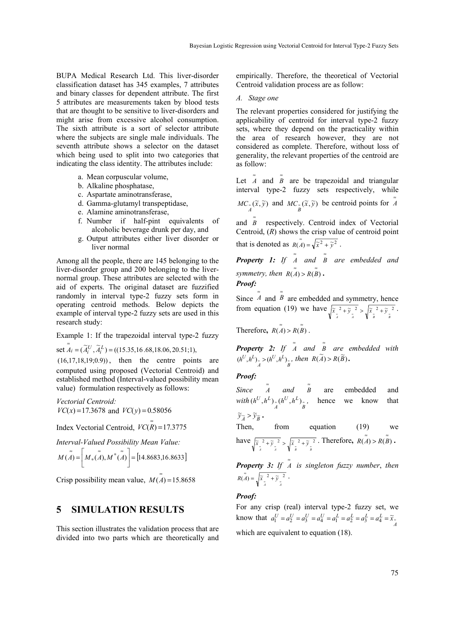BUPA Medical Research Ltd. This liver-disorder classification dataset has 345 examples, 7 attributes and binary classes for dependent attribute. The first 5 attributes are measurements taken by blood tests that are thought to be sensitive to liver-disorders and might arise from excessive alcohol consumption. The sixth attribute is a sort of selector attribute where the subjects are single male individuals. The seventh attribute shows a selector on the dataset which being used to split into two categories that indicating the class identity. The attributes include:

- a. Mean corpuscular volume,
- b. Alkaline phosphatase,
- c. Aspartate aminotransferase,
- d. Gamma-glutamyl transpeptidase,
- e. Alamine aminotransferase,
- f. Number if half-pint equivalents of alcoholic beverage drunk per day, and
- g. Output attributes either liver disorder or liver normal

Among all the people, there are 145 belonging to the liver-disorder group and 200 belonging to the livernormal group. These attributes are selected with the aid of experts. The original dataset are fuzzified randomly in interval type-2 fuzzy sets form in operating centroid methods. Below depicts the example of interval type-2 fuzzy sets are used in this research study:

Example 1: If the trapezoidal interval type-2 fuzzy

set  $\tilde{A}_i = (\tilde{A}_i^U, \tilde{A}_i^L) = ((15.35, 16.68, 18.06, 20.51; 1)),$ 

(16,17,18,19;0.9)) , then the centre points are computed using proposed (Vectorial Centroid) and established method (Interval-valued possibility mean value) formulation respectively as follows:

*Vectorial Centroid:*   $VC(x) = 17.3678$  and  $VC(y) = 0.58056$ 

*Index Vectorial Centroid,*  $\widehat{VC(R)} = 17.3775$ 

*Interval-Valued Possibility Mean Value:* 

$$
M(\tilde{A}) = \left[ M_*(\tilde{A}), M^*(\tilde{A}) \right] = [14.8683, 16.8633]
$$

Crisp possibility mean value,  $\overline{M(A)} = 15.8658$ 

# **5 SIMULATION RESULTS**

This section illustrates the validation process that are divided into two parts which are theoretically and

empirically. Therefore, the theoretical of Vectorial Centroid validation process are as follow:

*A. Stage one* 

The relevant properties considered for justifying the applicability of centroid for interval type-2 fuzzy sets, where they depend on the practicality within the area of research however, they are not considered as complete. Therefore, without loss of generality, the relevant properties of the centroid are as follow:

Let  $\tilde{A}$  and  $\tilde{B}$  are be trapezoidal and triangular interval type-2 fuzzy sets respectively, while

 $MC_{\frac{1}{A}}(\widetilde{x}, \widetilde{y})$  and  $MC_{\frac{1}{B}}(\widetilde{x}, \widetilde{y})$  be centroid points for  $\widetilde{A}$ 

and  $\tilde{B}$  respectively. Centroid index of Vectorial Centroid, (*R*) shows the crisp value of centroid point that is denoted as  $R(\tilde{A}) = \sqrt{\tilde{x}^2 + \tilde{y}^2}$ .

*Property 1: If* <sup>≈</sup> *<sup>A</sup> and* <sup>≈</sup> *B are embedded and symmetry, then*  $R(\tilde{A}) > R(\tilde{B})$ .

*Proof:* 

Since  $\tilde{A}$  and  $\tilde{B}$  are embedded and symmetry, hence from equation (19) we have  $\sqrt{\frac{x}{\lambda}^2 + \frac{y}{\lambda}^2} > \sqrt{\frac{x}{\lambda}^2 + \frac{y}{\lambda}^2}$ .

Therefore,  $R(\tilde{A}) > R(\tilde{B})$ .

*Property 2: If*  $\tilde{A}$  *and*  $\tilde{B}$  *are embedded with*  $\sum_{A} > (h^U, h^L)_{B}$ *U L*  $(h^U, h^L)_{\underset{A}{\sim}} > (h^U, h^L)_{\underset{B}{\sim}}$ , then  $R(\widetilde{A}) > R(\widetilde{B})$ .

#### *Proof:*

*Since*  $\overline{A}$  *and*  $\overline{B}$  are embedded and  $with (h^U, h^L)_{A \atop A} (h^U, h^L)_{B \atop B}$ *U L*  $(h^U, h^L)_{= A} (h^U, h^L)_{= B}$ , hence we know that  $\widetilde{y}_{\widetilde{A}} > \widetilde{y}_{\widetilde{B}}$ .

Then, from equation (19) we have 
$$
\sqrt{\tilde{x}} \frac{1}{\tilde{x}} + \tilde{y} \frac{1}{\tilde{x}} > \sqrt{\tilde{x}} \frac{1}{\tilde{x}} + \tilde{y} \frac{1}{\tilde{x}}.
$$
 Therefore,  $R(\tilde{A}) > R(\tilde{B})$ .

*Property 3: If* <sup>≈</sup> *A is singleton fuzzy number*, *then*  $R(\tilde{A}) = \sqrt{\tilde{x}^2 + \tilde{y}^2 + \tilde{y}^2}$ .

#### *Proof:*

For any crisp (real) interval type-2 fuzzy set, we know that  $a_1^U = a_2^U = a_3^U = a_4^U = a_1^L = a_2^L = a_3^L = a_4^L = \tilde{x}_{\bar{A}}$ which are equivalent to equation (18).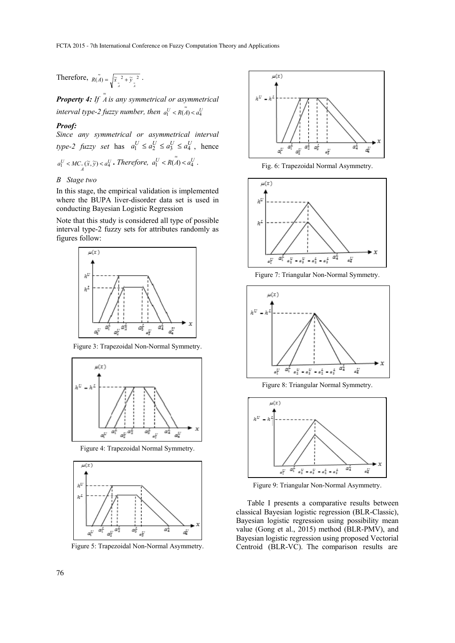Therefore,  $R(A) = \sqrt{\frac{\tilde{x}^2 + \tilde{y}^2}{\tilde{A}}}}$ .

*Property 4: If*  $\tilde{A}$  *is any symmetrical or asymmetrical interval type-2 fuzzy number, then*  $a_1^U < R(A) < a_4^U$ 

### *Proof:*

*Since any symmetrical or asymmetrical interval type-2 fuzzy set* has  $a_1^U \le a_2^U \le a_3^U \le a_4^U$ , hence *U*  $a_1^U < MC_a(\tilde{x}, \tilde{y}) < a_4^U$ . Therefore,  $a_1^U < R(\tilde{A}) < a_4^U$ .

### *B Stage two*

In this stage, the empirical validation is implemented where the BUPA liver-disorder data set is used in conducting Bayesian Logistic Regression

Note that this study is considered all type of possible interval type-2 fuzzy sets for attributes randomly as figures follow:



Figure 3: Trapezoidal Non-Normal Symmetry.



Figure 4: Trapezoidal Normal Symmetry.



Figure 5: Trapezoidal Non-Normal Asymmetry.



Fig. 6: Trapezoidal Normal Asymmetry.



Figure 7: Triangular Non-Normal Symmetry.







Figure 9: Triangular Non-Normal Asymmetry.

Table I presents a comparative results between classical Bayesian logistic regression (BLR-Classic), Bayesian logistic regression using possibility mean value (Gong et al., 2015) method (BLR-PMV), and Bayesian logistic regression using proposed Vectorial Centroid (BLR-VC). The comparison results are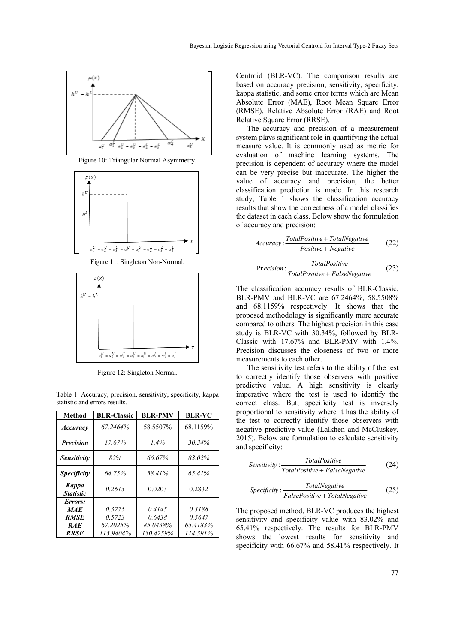

Figure 10: Triangular Normal Asymmetry.



Figure 11: Singleton Non-Normal.



Figure 12: Singleton Normal.

Table 1: Accuracy, precision, sensitivity, specificity, kappa statistic and errors results.

| Method                    | <b>BLR-Classic</b> | <b>BLR-PMV</b> | <b>BLR-VC</b> |
|---------------------------|--------------------|----------------|---------------|
| <b>Accuracy</b>           | 67.2464%           | 58.5507%       | 68.1159%      |
| <b>Precision</b>          | 17.67%             | 1.4%           | 30.34%        |
| <b>Sensitivity</b>        | 82%                | 66.67%         | 83.02%        |
| <b>Specificity</b>        | 64.75%             | 58.41%         | 65.41%        |
| Kappa<br><b>Statistic</b> | 0.2613             | 0.0203         | 0.2832        |
| Errors:                   |                    |                |               |
| <b>MAE</b>                | 0.3275             | 0.4145         | 0.3188        |
| <b>RMSE</b>               | 0.5723             | 0.6438         | 0.5647        |
| <b>RAE</b>                | 67.2025%           | 85.0438%       | 65.4183%      |
| <b>RRSE</b>               | 115.9404%          | 130.4259%      | 114.391%      |

Centroid (BLR-VC). The comparison results are based on accuracy precision, sensitivity, specificity, kappa statistic, and some error terms which are Mean Absolute Error (MAE), Root Mean Square Error (RMSE), Relative Absolute Error (RAE) and Root Relative Square Error (RRSE).

The accuracy and precision of a measurement system plays significant role in quantifying the actual measure value. It is commonly used as metric for evaluation of machine learning systems. The precision is dependent of accuracy where the model can be very precise but inaccurate. The higher the value of accuracy and precision, the better classification prediction is made. In this research study, Table 1 shows the classification accuracy results that show the correctness of a model classifies the dataset in each class. Below show the formulation of accuracy and precision:

$$
Accuracy: \frac{TotalPositive + TotalNegative}{Positive + Negative}
$$
 (22)

$$
Precision: \frac{TotalPositive}{TotalPositive + FalseNegative}
$$
 (23)

The classification accuracy results of BLR-Classic, BLR-PMV and BLR-VC are 67.2464%, 58.5508% and 68.1159% respectively. It shows that the proposed methodology is significantly more accurate compared to others. The highest precision in this case study is BLR-VC with 30.34%, followed by BLR-Classic with 17.67% and BLR-PMV with 1.4%. Precision discusses the closeness of two or more measurements to each other.

The sensitivity test refers to the ability of the test to correctly identify those observers with positive predictive value. A high sensitivity is clearly imperative where the test is used to identify the correct class. But, specificity test is inversely proportional to sensitivity where it has the ability of the test to correctly identify those observers with negative predictive value (Lalkhen and McCluskey, 2015). Below are formulation to calculate sensitivity and specificity:

$$
Sensitivity: \frac{TotalPositive}{TotalPositive + FalseNegative} \tag{24}
$$

$$
Specificity: \frac{TotalNegative}{FalsePositive + TotalNegative}
$$
 (25)

The proposed method, BLR-VC produces the highest sensitivity and specificity value with 83.02% and 65.41% respectively. The results for BLR-PMV shows the lowest results for sensitivity and specificity with 66.67% and 58.41% respectively. It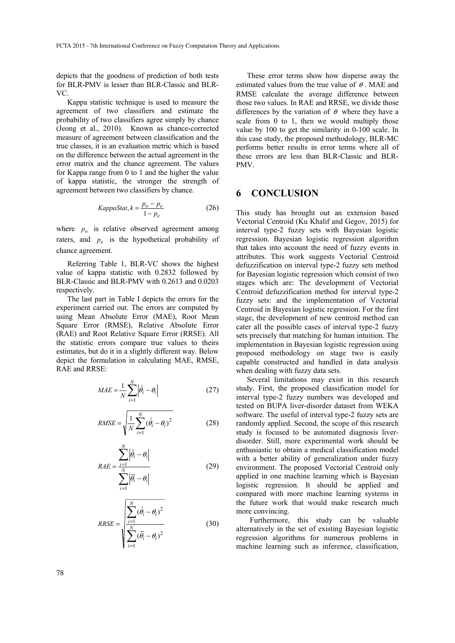depicts that the goodness of prediction of both tests for BLR-PMV is lesser than BLR-Classic and BLR-VC.

Kappa statistic technique is used to measure the agreement of two classifiers and estimate the probability of two classifiers agree simply by chance (Jeong et al., 2010). Known as chance-corrected measure of agreement between classification and the true classes, it is an evaluation metric which is based on the difference between the actual agreement in the error matrix and the chance agreement. The values for Kappa range from 0 to 1 and the higher the value of kappa statistic, the stronger the strength of agreement between two classifiers by chance.

$$
KappaStat, k = \frac{p_o - p_e}{1 - p_e}
$$
 (26)

where  $p<sub>o</sub>$  is relative observed agreement among raters, and *pe* is the hypothetical probability of chance agreement.

Referring Table 1, BLR-VC shows the highest value of kappa statistic with 0.2832 followed by BLR-Classic and BLR-PMV with 0.2613 and 0.0203 respectively.

The last part in Table I depicts the errors for the experiment carried out. The errors are computed by using Mean Absolute Error (MAE), Root Mean Square Error (RMSE), Relative Absolute Error (RAE) and Root Relative Square Error (RRSE). All the statistic errors compare true values to theirs estimates, but do it in a slightly different way. Below depict the formulation in calculating MAE, RMSE, RAE and RRSE:

$$
MAE = \frac{1}{N} \sum_{i=1}^{N} |\hat{\theta}_i - \theta_i|
$$
 (27)

$$
RMSE = \sqrt{\frac{1}{N} \sum_{i=1}^{N} (\hat{\theta}_i - \theta_i)^2}
$$
 (28)

$$
RAE = \frac{\sum_{i=1}^{N} |\hat{\theta}_i - \theta_i|}{\sum_{i=1}^{N} |\overline{\theta}_i - \theta_i|}
$$
(29)

$$
RRSE = \sqrt{\frac{\sum_{i=1}^{N} (\hat{\theta}_i - \theta_i)^2}{\sum_{i=1}^{N} (\overline{\theta}_i - \theta_i)^2}}
$$
(30)

These error terms show how disperse away the estimated values from the true value of  $\theta$ . MAE and RMSE calculate the average difference between those two values. In RAE and RRSE, we divide those differences by the variation of  $\theta$  where they have a scale from 0 to 1, then we would multiply those value by 100 to get the similarity in 0-100 scale. In this case study, the proposed methodology, BLR-MC performs better results in error terms where all of these errors are less than BLR-Classic and BLR-PMV.

# **6 CONCLUSION**

This study has brought out an extension based Vectorial Centroid (Ku Khalif and Gegov, 2015) for interval type-2 fuzzy sets with Bayesian logistic regression. Bayesian logistic regression algorithm that takes into account the need of fuzzy events in attributes. This work suggests Vectorial Centroid defuzzification on interval type-2 fuzzy sets method for Bayesian logistic regression which consist of two stages which are: The development of Vectorial Centroid defuzzification method for interval type-2 fuzzy sets: and the implementation of Vectorial Centroid in Bayesian logistic regression. For the first stage, the development of new centroid method can cater all the possible cases of interval type-2 fuzzy sets precisely that matching for human intuition. The implementation in Bayesian logistic regression using proposed methodology on stage two is easily capable constructed and handled in data analysis when dealing with fuzzy data sets.

Several limitations may exist in this research study. First, the proposed classification model for interval type-2 fuzzy numbers was developed and tested on BUPA liver-disorder dataset from WEKA software. The useful of interval type-2 fuzzy sets are randomly applied. Second, the scope of this research study is focused to be automated diagnosis liverdisorder. Still, more experimental work should be enthusiastic to obtain a medical classification model with a better ability of generalization under fuzzy environment. The proposed Vectorial Centroid only applied in one machine learning which is Bayesian logistic regression. It should be applied and compared with more machine learning systems in the future work that would make research much more convincing.

Furthermore, this study can be valuable alternatively in the set of existing Bayesian logistic regression algorithms for numerous problems in machine learning such as inference, classification,